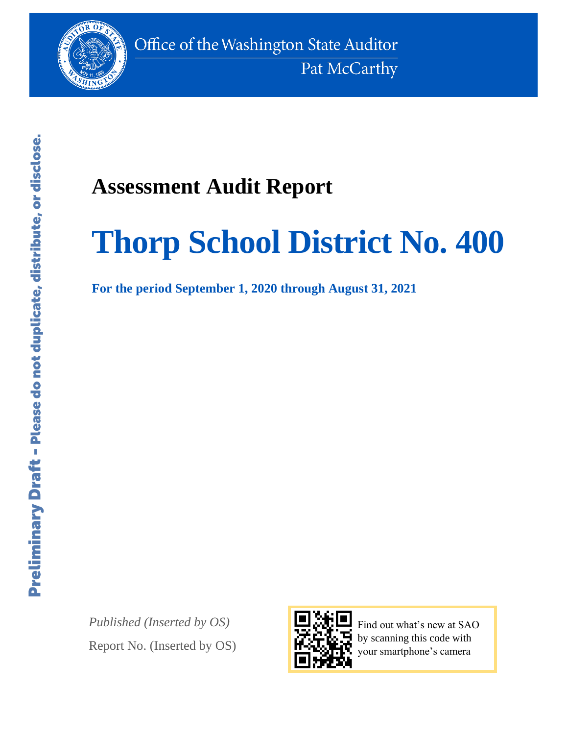

## **Assessment Audit Report**

# **Thorp School District No. 400**

**For the period September 1, 2020 through August 31, 2021**

*Published (Inserted by OS)* Report No. (Inserted by OS)



Find out what's new at SAO by scanning this code with your smartphone's camera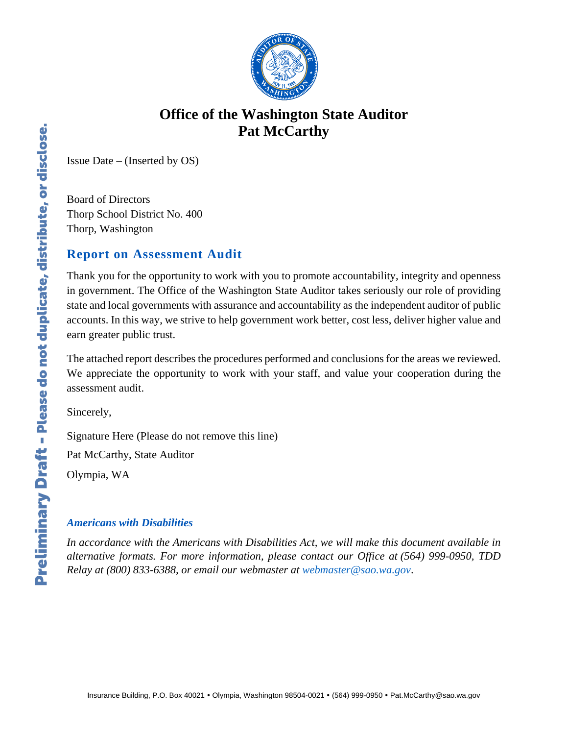

### **Office of the Washington State Auditor Pat McCarthy**

Issue Date – (Inserted by OS)

Board of Directors Thorp School District No. 400 Thorp, Washington

#### **Report on Assessment Audit**

Thank you for the opportunity to work with you to promote accountability, integrity and openness in government. The Office of the Washington State Auditor takes seriously our role of providing state and local governments with assurance and accountability as the independent auditor of public accounts. In this way, we strive to help government work better, cost less, deliver higher value and earn greater public trust.

The attached report describes the procedures performed and conclusions for the areas we reviewed. We appreciate the opportunity to work with your staff, and value your cooperation during the assessment audit.

Sincerely,

Signature Here (Please do not remove this line)

Pat McCarthy, State Auditor

Olympia, WA

#### *Americans with Disabilities*

*In accordance with the Americans with Disabilities Act, we will make this document available in alternative formats. For more information, please contact our Office at (564) 999-0950, TDD Relay at (800) 833-6388, or email our webmaster at [webmaster@sao.wa.gov](mailto:webmaster@sao.wa.gov)*.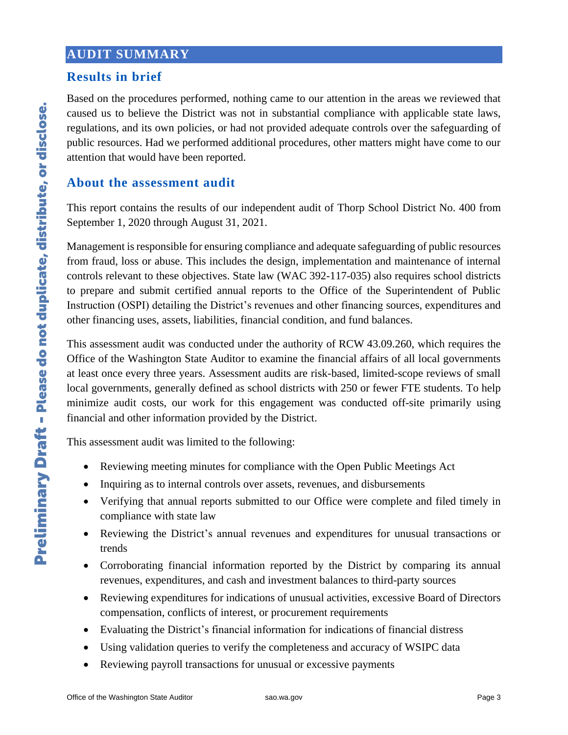#### **AUDIT SUMMARY**

#### **Results in brief**

Based on the procedures performed, nothing came to our attention in the areas we reviewed that caused us to believe the District was not in substantial compliance with applicable state laws, regulations, and its own policies, or had not provided adequate controls over the safeguarding of public resources. Had we performed additional procedures, other matters might have come to our attention that would have been reported.

#### **About the assessment audit**

This report contains the results of our independent audit of Thorp School District No. 400 from September 1, 2020 through August 31, 2021.

Management is responsible for ensuring compliance and adequate safeguarding of public resources from fraud, loss or abuse. This includes the design, implementation and maintenance of internal controls relevant to these objectives. State law (WAC 392-117-035) also requires school districts to prepare and submit certified annual reports to the Office of the Superintendent of Public Instruction (OSPI) detailing the District's revenues and other financing sources, expenditures and other financing uses, assets, liabilities, financial condition, and fund balances.

This assessment audit was conducted under the authority of RCW 43.09.260, which requires the Office of the Washington State Auditor to examine the financial affairs of all local governments at least once every three years. Assessment audits are risk-based, limited-scope reviews of small local governments, generally defined as school districts with 250 or fewer FTE students. To help minimize audit costs, our work for this engagement was conducted off-site primarily using financial and other information provided by the District.

This assessment audit was limited to the following:

- Reviewing meeting minutes for compliance with the Open Public Meetings Act
- Inquiring as to internal controls over assets, revenues, and disbursements
- Verifying that annual reports submitted to our Office were complete and filed timely in compliance with state law
- Reviewing the District's annual revenues and expenditures for unusual transactions or trends
- Corroborating financial information reported by the District by comparing its annual revenues, expenditures, and cash and investment balances to third-party sources
- Reviewing expenditures for indications of unusual activities, excessive Board of Directors compensation, conflicts of interest, or procurement requirements
- Evaluating the District's financial information for indications of financial distress
- Using validation queries to verify the completeness and accuracy of WSIPC data
- Reviewing payroll transactions for unusual or excessive payments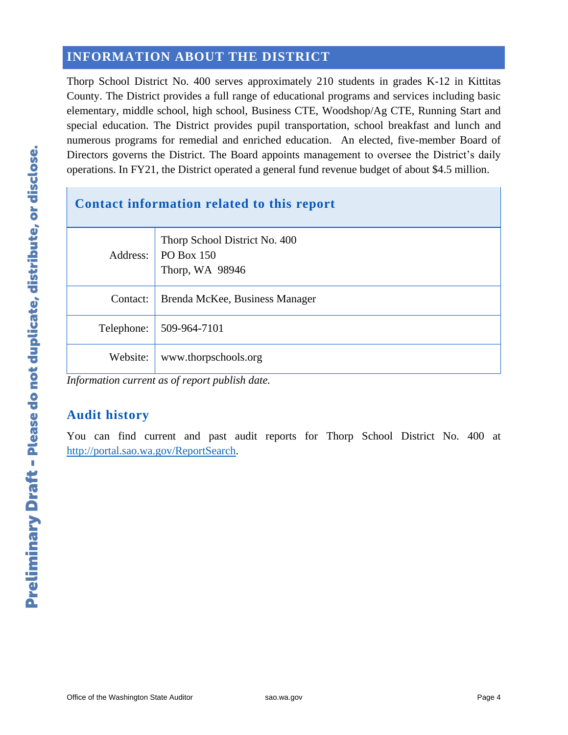#### **INFORMATION ABOUT THE DISTRICT**

Thorp School District No. 400 serves approximately 210 students in grades K-12 in Kittitas County. The District provides a full range of educational programs and services including basic elementary, middle school, high school, Business CTE, Woodshop/Ag CTE, Running Start and special education. The District provides pupil transportation, school breakfast and lunch and numerous programs for remedial and enriched education. An elected, five-member Board of Directors governs the District. The Board appoints management to oversee the District's daily operations. In FY21, the District operated a general fund revenue budget of about \$4.5 million.

| Contact information related to this report |                                                                |
|--------------------------------------------|----------------------------------------------------------------|
| Address:                                   | Thorp School District No. 400<br>PO Box 150<br>Thorp, WA 98946 |
| Contact:                                   | Brenda McKee, Business Manager                                 |
| Telephone:                                 | 509-964-7101                                                   |
| Website:                                   | www.thorpschools.org                                           |

*Information current as of report publish date.*

#### **Audit history**

You can find current and past audit reports for Thorp School District No. 400 at [http://portal.sao.wa.gov/ReportSearch.](http://portal.sao.wa.gov/ReportSearch/?qItemType=1&qItemDesc=Thorp%20School%20District%20No%20400&qItemValue=1931)